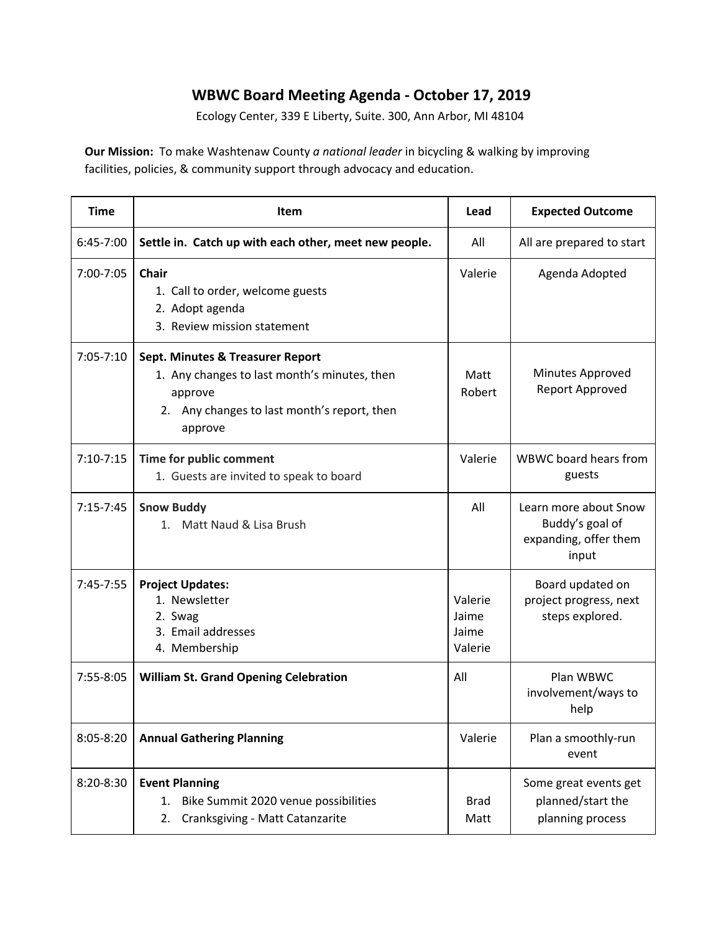## **WBWC Board Meeting Agenda - October 17, 2019**

Ecology Center, 339 E Liberty, Suite. 300, Ann Arbor, MI 48104

**Our Mission:** To make Washtenaw County *a national leader* in bicycling & walking by improving facilities, policies, & community support through advocacy and education.

| <b>Time</b>   | <b>Item</b>                                                                                                                                                      | Lead                                 | <b>Expected Outcome</b>                                                    |
|---------------|------------------------------------------------------------------------------------------------------------------------------------------------------------------|--------------------------------------|----------------------------------------------------------------------------|
| 6:45-7:00     | Settle in. Catch up with each other, meet new people.                                                                                                            | All                                  | All are prepared to start                                                  |
| 7:00-7:05     | <b>Chair</b><br>1. Call to order, welcome guests<br>2. Adopt agenda<br>3. Review mission statement                                                               | Valerie                              | Agenda Adopted                                                             |
| $7:05 - 7:10$ | <b>Sept. Minutes &amp; Treasurer Report</b><br>1. Any changes to last month's minutes, then<br>approve<br>2. Any changes to last month's report, then<br>approve | Matt<br>Robert                       | Minutes Approved<br>Report Approved                                        |
| $7:10 - 7:15$ | Time for public comment<br>1. Guests are invited to speak to board                                                                                               | Valerie                              | WBWC board hears from<br>guests                                            |
| $7:15 - 7:45$ | <b>Snow Buddy</b><br>1. Matt Naud & Lisa Brush                                                                                                                   | All                                  | Learn more about Snow<br>Buddy's goal of<br>expanding, offer them<br>input |
| 7:45-7:55     | <b>Project Updates:</b><br>1. Newsletter<br>2. Swag<br>3. Email addresses<br>4. Membership                                                                       | Valerie<br>Jaime<br>Jaime<br>Valerie | Board updated on<br>project progress, next<br>steps explored.              |
| 7:55-8:05     | <b>William St. Grand Opening Celebration</b>                                                                                                                     | All                                  | Plan WBWC<br>involvement/ways to<br>help                                   |
| 8:05-8:20     | <b>Annual Gathering Planning</b>                                                                                                                                 | Valerie                              | Plan a smoothly-run<br>event                                               |
| 8:20-8:30     | <b>Event Planning</b><br>Bike Summit 2020 venue possibilities<br>1.<br>Cranksgiving - Matt Catanzarite<br>2.                                                     | <b>Brad</b><br>Matt                  | Some great events get<br>planned/start the<br>planning process             |